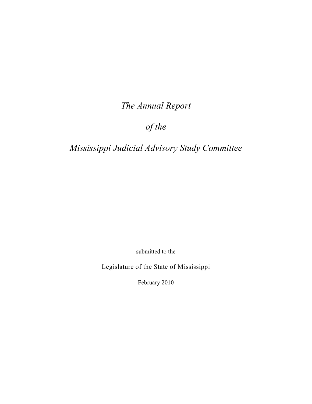*The Annual Report*

*of the*

*Mississippi Judicial Advisory Study Committee*

submitted to the

Legislature of the State of Mississippi

February 2010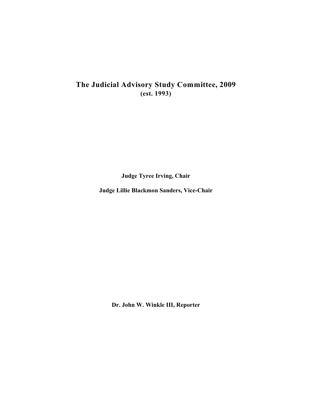# **The Judicial Advisory Study Committee, 2009 (est. 1993)**

**Judge Tyree Irving, Chair**

**Judge Lillie Blackmon Sanders, Vice-Chair**

**Dr. John W. Winkle III, Reporter**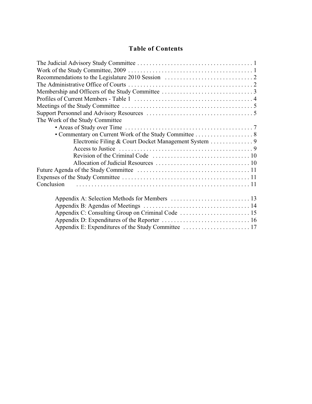# **Table of Contents**

| The Work of the Study Committee |  |
|---------------------------------|--|
|                                 |  |
|                                 |  |
|                                 |  |
|                                 |  |
|                                 |  |
|                                 |  |
|                                 |  |
|                                 |  |
| Conclusion                      |  |
|                                 |  |
|                                 |  |
|                                 |  |
|                                 |  |
|                                 |  |
|                                 |  |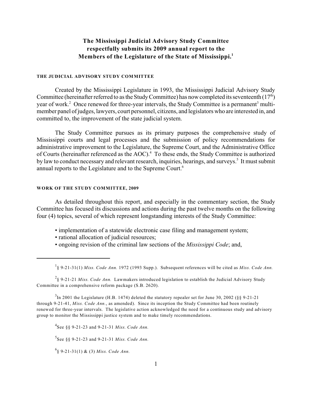## **The Mississippi Judicial Advisory Study Committee respectfully submits its 2009 annual report to the Members of the Legislature of the State of Mississippi.<sup>1</sup>**

#### **THE JUDICIAL ADVISORY STUDY COMMITTEE**

Created by the Mississippi Legislature in 1993, the Mississippi Judicial Advisory Study Committee (hereinafter referred to as the Study Committee) has now completed its seventeenth  $(17<sup>th</sup>)$ year of work.<sup>2</sup> Once renewed for three-year intervals, the Study Committee is a permanent<sup>3</sup> multimember panel of judges, lawyers, court personnel, citizens, and legislators who are interested in, and committed to, the improvement of the state judicial system.

The Study Committee pursues as its primary purposes the comprehensive study of Mississippi courts and legal processes and the submission of policy recommendations for administrative improvement to the Legislature, the Supreme Court, and the Administrative Office of Courts (hereinafter referenced as the AOC).<sup>4</sup> To these ends, the Study Committee is authorized by law to conduct necessary and relevant research, inquiries, hearings, and surveys.<sup>5</sup> It must submit annual reports to the Legislature and to the Supreme Court.<sup>6</sup>

#### **WORK OF THE STUDY COMMITTEE, 2009**

As detailed throughout this report, and especially in the commentary section, the Study Committee has focused its discussions and actions during the past twelve months on the following four (4) topics, several of which represent longstanding interests of the Study Committee:

- implementation of a statewide electronic case filing and management system;
- rational allocation of judicial resources;
- ongoing revision of the criminal law sections of the *Mississippi Code*; and,

See §§ 9-21-23 and 9-21-31 *Miss. Code Ann.* <sup>5</sup>

 $^{6}$ § 9-21-31(1) & (3) Miss. Code Ann.

<sup>§ 9-21-31(1)</sup> *Miss. Code Ann.* 1972 (1993 Supp.). Subsequent references will be cited as *Miss. Code Ann.* <sup>1</sup>

<sup>§ 9-21-21</sup> *Miss. Code Ann.* Lawmakers introduced legislation to establish the Judicial Advisory Study <sup>2</sup> Committee in a comprehensive reform package (S.B. 2620).

 $3$ In 2001 the Legislature (H.B. 1474) deleted the statutory repealer set for June 30, 2002 (§§ 9-21-21) through 9-21-41, *Miss. Code Ann.*, as amended). Since its inception the Study Committee had been routinely renewed for three-year intervals. The legislative action acknowledged the need for a continuous study and advisory group to monitor the Mississippi justice system and to make timely recommendations.

 $^{4}$ See §§ 9-21-23 and 9-21-31 *Miss. Code Ann.*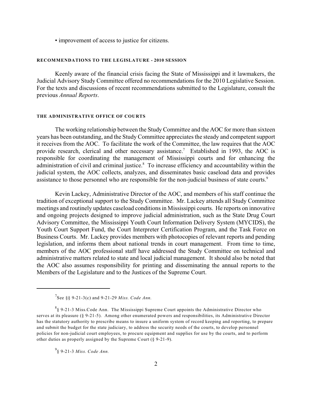• improvement of access to justice for citizens.

#### **RECOMMENDATIONS TO THE LEGISLATURE - 2010 SESSION**

Keenly aware of the financial crisis facing the State of Mississippi and it lawmakers, the Judicial Advisory Study Committee offered no recommendations for the 2010 Legislative Session. For the texts and discussions of recent recommendations submitted to the Legislature, consult the previous *Annual Reports*.

#### **THE ADMINISTRATIVE OFFICE OF COURTS**

The working relationship between the Study Committee and the AOC for more than sixteen years has been outstanding, and the Study Committee appreciates the steady and competent support it receives from the AOC. To facilitate the work of the Committee, the law requires that the AOC provide research, clerical and other necessary assistance.<sup>7</sup> Established in 1993, the AOC is responsible for coordinating the management of Mississippi courts and for enhancing the administration of civil and criminal justice.<sup>8</sup> To increase efficiency and accountability within the judicial system, the AOC collects, analyzes, and disseminates basic caseload data and provides assistance to those personnel who are responsible for the non-judicial business of state courts.<sup>9</sup>

Kevin Lackey, Administrative Director of the AOC, and members of his staff continue the tradition of exceptional support to the Study Committee. Mr. Lackey attends all Study Committee meetings and routinely updates caseload conditions in Mississippi courts. He reports on innovative and ongoing projects designed to improve judicial administration, such as the State Drug Court Advisory Committee, the Mississippi Youth Court Information Delivery System (MYCIDS), the Youth Court Support Fund, the Court Interpreter Certification Program, and the Task Force on Business Courts. Mr. Lackey provides members with photocopies of relevant reports and pending legislation, and informs them about national trends in court management. From time to time, members of the AOC professional staff have addressed the Study Committee on technical and administrative matters related to state and local judicial management. It should also be noted that the AOC also assumes responsibility for printing and disseminating the annual reports to the Members of the Legislature and to the Justices of the Supreme Court.

§ 9-21-3 *Miss. Code Ann.* <sup>9</sup>

 $^{7}$ See §§ 9-21-3(c) and 9-21-29 *Miss. Code Ann.* 

 ${}^{8}$ § 9-21-3 Miss.Code Ann. The Mississippi Supreme Court appoints the Administrative Director who serves at its pleasure (§ 9-21-5). Among other enumerated powers and responsibilities, its Administrative Director has the statutory authority to prescribe means to insure a uniform system of record keeping and reporting, to prepare and submit the budget for the state judiciary, to address the security needs of the courts, to develop personnel policies for non-judicial court employees, to procure equipment and supplies for use by the courts, and to perform other duties as properly assigned by the Supreme Court (§ 9-21-9).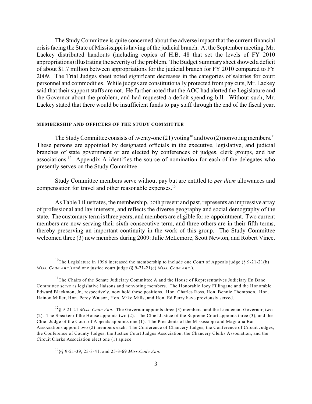The Study Committee is quite concerned about the adverse impact that the current financial crisis facing the State of Mississippi is having of the judicial branch. At the September meeting, Mr. Lackey distributed handouts (including copies of H.B. 48 that set the levels of FY 2010 appropriations) illustrating the severity of the problem. The Budget Summary sheet showed a deficit of about \$1.7 million between appropriations for the judicial branch for FY 2010 compared to FY 2009. The Trial Judges sheet noted significant decreases in the categories of salaries for court personnel and commodities. While judges are constitutionally protected from pay cuts, Mr. Lackey said that their support staffs are not. He further noted that the AOC had alerted the Legislature and the Governor about the problem, and had requested a deficit spending bill. Without such, Mr. Lackey stated that there would be insufficient funds to pay staff through the end of the fiscal year.

#### **MEMBERSHIP AND OFFICERS OF THE STUDY COMMITTEE**

The Study Committee consists of twenty-one  $(21)$  voting<sup>10</sup> and two  $(2)$  nonvoting members.<sup>11</sup> These persons are appointed by designated officials in the executive, legislative, and judicial branches of state government or are elected by conferences of judges, clerk groups, and bar associations.<sup>12</sup> Appendix A identifies the source of nomination for each of the delegates who presently serves on the Study Committee.

Study Committee members serve without pay but are entitled to *per diem* allowances and compensation for travel and other reasonable expenses.<sup>13</sup>

As Table 1 illustrates, the membership, both present and past, represents an impressive array of professional and lay interests, and reflects the diverse geography and social demography of the state. The customary term is three years, and members are eligible for re-appointment. Two current members are now serving their sixth consecutive term, and three others are in their fifth terms, thereby preserving an important continuity in the work of this group. The Study Committee welcomed three (3) new members during 2009: Julie McLemore, Scott Newton, and Robert Vince.

<sup>&</sup>lt;sup>10</sup>The Legislature in 1996 increased the membership to include one Court of Appeals judge (§ 9-21-21(b) *Miss. Code Ann.*) and one justice court judge (§ 9-21-21(c) *Miss. Code Ann.*).

 $11$ The Chairs of the Senate Judiciary Committee A and the House of Representatives Judiciary En Banc Committee serve as legislative liaisons and nonvoting members. The Honorable Joey Fillingane and the Honorable Edward Blackmon, Jr., respectively, now hold these positions. Hon. Charles Ross, Hon. Bennie Thompson, Hon. Hainon Miller, Hon. Percy Watson, Hon. Mike Mills, and Hon. Ed Perry have previously served.

 $^{12}$ § 9-21-21 *Miss. Code Ann*. The Governor appoints three (3) members, and the Lieutenant Governor, two (2). The Speaker of the House appoints two (2). The Chief Justice of the Supreme Court appoints three (3), and the Chief Judge of the Court of Appeals appoints one (1). The Presidents of the Mississippi and Magnolia Bar Associations appoint two (2) members each. The Conference of Chancery Judges, the Conference of Circuit Judges, the Conference of County Judges, the Justice Court Judges Association, the Chancery Clerks Association, and the Circuit Clerks Association elect one (1) apiece.

 $^{13}$ §§ 9-21-39, 25-3-41, and 25-3-69 *Miss.Code Ann.*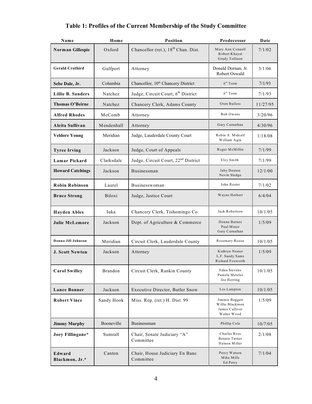| Name                     | Home       | <b>Position</b>                                                                                     | Predecessor                                         | Date     |
|--------------------------|------------|-----------------------------------------------------------------------------------------------------|-----------------------------------------------------|----------|
| Norman Gillespie         | Oxford     | Chancellor (ret.), 18 <sup>th</sup> Chan. Dist.                                                     | Mary Ann Connell<br>Robert Khayat<br>Grady Tollison | 7/1/02   |
| <b>Gerald Cruthird</b>   | Gulfport   | Attorney                                                                                            | Donald Dornan, Jr.<br>Robert Oswald                 | 3/1/06   |
| Sebe Dale, Jr.           | Columbia   | Chancellor, 10 <sup>th</sup> Chancery District                                                      | $6th$ Term                                          | 7/1/93   |
| Lillie B. Sanders        | Natchez    | Judge, Circuit Court, 6th District                                                                  | $6th$ Term                                          | 7/1/93   |
| Thomas O'Beirne          | Natchez    | Chancery Clerk, Adams County                                                                        | Oren Bailess                                        | 11/27/95 |
| <b>Alfred Rhodes</b>     | McComb     | Attorney                                                                                            | Bob Owens                                           | 3/20/96  |
| Aleita Sullivan          | Mendenhall | Attorney                                                                                            | Gary Carnathan                                      | 4/30/96  |
| <b>Veldore Young</b>     | Meridian   | Judge, Lauderdale County Court                                                                      | Robin A. Midcalf<br>William Agin                    | 1/18/08  |
| <b>Tyree Irving</b>      | Jackson    | Judge, Court of Appeals                                                                             | Roger McMillin                                      | 7/1/99   |
| Lamar Pickard            | Clarksdale | Judge, Circuit Court, 22 <sup>nd</sup> District                                                     | Elzy Smith                                          | 7/1/99   |
| <b>Howard Catchings</b>  | Jackson    | Businessman                                                                                         | Jaby Denton<br>Nevin Sledge                         | 12/1/00  |
| <b>Robin Robinson</b>    | Laurel     | Businesswoman                                                                                       | John Rester                                         | 7/1/02   |
| <b>Bruce Strong</b>      | Biloxi     | Judge, Justice Court                                                                                | Wayne Herbert                                       | 6/4/04   |
| <b>Hayden Ables</b>      | Iuka       | Chancery Clerk, Tishomingo Co.                                                                      | Jack Robertson                                      | 10/1/05  |
| <b>Julie McLemore</b>    | Jackson    | Dept. of Agriculture & Commerce                                                                     | Donna Barnes<br>Paul Minor<br>Gary Carnathan        | 1/5/09   |
| Donna Jill Johnson       | Meridian   | Circuit Clerk, Lauderdale County                                                                    | Rosemary Roosa                                      | 10/1/05  |
| <b>J. Scott Newton</b>   | Jackson    | Kathryn Nestor<br>Attorney<br>L.F. Sandy Sams<br>Richard Foxworth                                   |                                                     | 1/5/09   |
| <b>Carol Swilley</b>     | Brandon    | Edna Stevens<br>Circuit Clerk, Rankin County<br>Pamela Metzler<br>Joe Herring                       |                                                     | 10/1/05  |
| <b>Lance Bonner</b>      | Jackson    | Executive Director, Butler Snow                                                                     | Les Lampton                                         | 10/1/05  |
| <b>Robert Vince</b>      | Sandy Hook | Jimmie Baggett<br>Miss. Rep. (ret.) H. Dist. 99<br>Willie Blackmon<br>James Culliver<br>Walter Wood |                                                     | 1/5/09   |
| <b>Jimmy Murphy</b>      | Booneville | <b>Businessman</b>                                                                                  | Phillip Cole                                        | 10/7/05  |
| Joey Fillingane*         | Sumrall    | Charles Ross<br>Chair, Senate Judiciary "A"<br>Bennie Turner<br>Committee<br>Hainon Miller          |                                                     | 2/1/08   |
| Edward<br>Blackmon, Jr.* | Canton     | Chair, House Judiciary En Banc<br>Percy Watson<br>Mike Mills<br>Committee<br>Ed Perry               |                                                     | 7/1/04   |

# **Table 1: Profiles of the Current Membership of the Study Committee**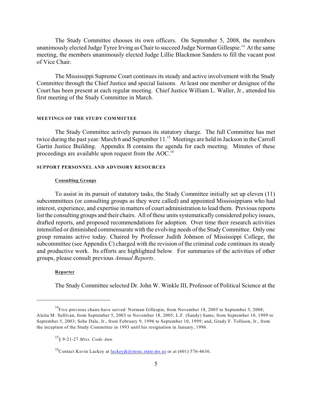The Study Committee chooses its own officers. On September 5, 2008, the members unanimously elected Judge Tyree Irving as Chair to succeed Judge Norman Gillespie.<sup>14</sup> At the same meeting, the members unanimously elected Judge Lillie Blackmon Sanders to fill the vacant post of Vice Chair.

The Mississippi Supreme Court continues its steady and active involvement with the Study Committee through the Chief Justice and special liaisons. At least one member or designee of the Court has been present at each regular meeting. Chief Justice William L. Waller, Jr., attended his first meeting of the Study Committee in March.

#### **MEETINGS OF THE STUDY COMMITTEE**

The Study Committee actively pursues its statutory charge. The full Committee has met twice during the past year: March 6 and September 11.<sup>15</sup> Meetings are held in Jackson in the Carroll Gartin Justice Building. Appendix B contains the agenda for each meeting. Minutes of these proceedings are available upon request from the AOC.<sup>16</sup>

#### **SUPPORT PERSONNEL AND ADVISORY RESOURCES**

#### **Consulting Groups**

To assist in its pursuit of statutory tasks, the Study Committee initially set up eleven (11) subcommittees (or consulting groups as they were called) and appointed Mississippians who had interest, experience, and expertise in matters of court administration to lead them. Previous reports list the consulting groups and their chairs. All of these units systematically considered policy issues, drafted reports, and proposed recommendations for adoption. Over time their research activities intensified or diminished commensurate with the evolving needs of the Study Committee. Only one group remains active today. Chaired by Professor Judith Johnson of Mississippi College, the subcommittee (see Appendix C) charged with the revision of the criminal code continues its steady and productive work. Its efforts are highlighted below. For summaries of the activities of other groups, please consult previous *Annual Reports*.

#### **Reporter**

The Study Committee selected Dr. John W. Winkle III, Professor of Political Science at the

 $14$  Five previous chairs have served: Norman Gillespie, from November 18, 2005 to September 5, 2008; Aleita M. Sullivan, from September 5, 2003 to November 18, 2005; L.F. (Sandy) Sams, from September 10, 1999 to September 5, 2003; Sebe Dale, Jr., from February 9, 1996 to September 10, 1999; and, Grady F. Tollison, Jr., from the inception of the Study Committee in 1993 until his resignation in January, 1996.

<sup>§ 9-21-27</sup> *Miss. Code Ann.* <sup>15</sup>

<sup>&</sup>lt;sup>16</sup>Contact Kevin Lackey at [lackeyjk@mssc.state.ms.us](mailto:lackeyjk@mssc.state.ms.us) or at (601) 576-4636.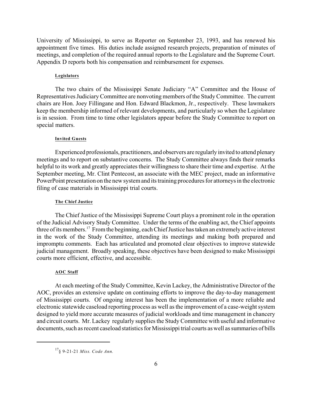University of Mississippi, to serve as Reporter on September 23, 1993, and has renewed his appointment five times. His duties include assigned research projects, preparation of minutes of meetings, and completion of the required annual reports to the Legislature and the Supreme Court. Appendix D reports both his compensation and reimbursement for expenses.

#### **Legislators**

The two chairs of the Mississippi Senate Judiciary "A" Committee and the House of Representatives Judiciary Committee are nonvoting members of the Study Committee. The current chairs are Hon. Joey Fillingane and Hon. Edward Blackmon, Jr., respectively. These lawmakers keep the membership informed of relevant developments, and particularly so when the Legislature is in session. From time to time other legislators appear before the Study Committee to report on special matters.

#### **Invited Guests**

Experienced professionals, practitioners, and observers are regularly invited to attend plenary meetings and to report on substantive concerns. The Study Committee always finds their remarks helpful to its work and greatly appreciates their willingness to share their time and expertise. At the September meeting, Mr. Clint Pentecost, an associate with the MEC project, made an informative PowerPoint presentation on the new system and its training procedures for attorneys in the electronic filing of case materials in Mississippi trial courts.

#### **The Chief Justice**

The Chief Justice of the Mississippi Supreme Court plays a prominent role in the operation of the Judicial Advisory Study Committee. Under the terms of the enabling act, the Chief appoints three of its members.<sup>17</sup> From the beginning, each Chief Justice has taken an extremely active interest in the work of the Study Committee, attending its meetings and making both prepared and impromptu comments. Each has articulated and promoted clear objectives to improve statewide judicial management. Broadly speaking, these objectives have been designed to make Mississippi courts more efficient, effective, and accessible.

#### **AOC Staff**

At each meeting of the Study Committee, Kevin Lackey, the Administrative Director of the AOC, provides an extensive update on continuing efforts to improve the day-to-day management of Mississippi courts. Of ongoing interest has been the implementation of a more reliable and electronic statewide caseload reporting process as well as the improvement of a case-weight system designed to yield more accurate measures of judicial workloads and time management in chancery and circuit courts. Mr. Lackey regularly supplies the Study Committee with useful and informative documents, such as recent caseload statistics for Mississippi trial courts as well as summaries of bills

<sup>&</sup>lt;sup>17</sup> § 9-21-21 *Miss. Code Ann.*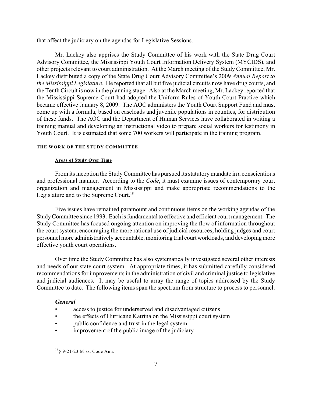that affect the judiciary on the agendas for Legislative Sessions.

Mr. Lackey also apprises the Study Committee of his work with the State Drug Court Advisory Committee, the Mississippi Youth Court Information Delivery System (MYCIDS), and other projects relevant to court administration. At the March meeting of the Study Committee, Mr. Lackey distributed a copy of the State Drug Court Advisory Committee's 2009 *Annual Report to the Mississippi Legislature*. He reported that all but five judicial circuits now have drug courts, and the Tenth Circuit is now in the planning stage. Also at the March meeting, Mr. Lackey reported that the Mississippi Supreme Court had adopted the Uniform Rules of Youth Court Practice which became effective January 8, 2009. The AOC administers the Youth Court Support Fund and must come up with a formula, based on caseloads and juvenile populations in counties, for distribution of these funds. The AOC and the Department of Human Services have collaborated in writing a training manual and developing an instructional video to prepare social workers for testimony in Youth Court. It is estimated that some 700 workers will participate in the training program.

#### **THE WORK OF THE STUDY COMMITTEE**

#### **Areas of Study Over Time**

From its inception the Study Committee has pursued its statutory mandate in a conscientious and professional manner. According to the *Code*, it must examine issues of contemporary court organization and management in Mississippi and make appropriate recommendations to the Legislature and to the Supreme Court.<sup>18</sup>

Five issues have remained paramount and continuous items on the working agendas of the Study Committee since 1993. Each is fundamental to effective and efficient court management. The Study Committee has focused ongoing attention on improving the flow of information throughout the court system, encouraging the more rational use of judicial resources, holding judges and court personnel more administratively accountable, monitoring trial court workloads, and developing more effective youth court operations.

Over time the Study Committee has also systematically investigated several other interests and needs of our state court system. At appropriate times, it has submitted carefully considered recommendations for improvements in the administration of civil and criminal justice to legislative and judicial audiences. It may be useful to array the range of topics addressed by the Study Committee to date. The following items span the spectrum from structure to process to personnel:

#### *General*

- access to justice for underserved and disadvantaged citizens
- the effects of Hurricane Katrina on the Mississippi court system
- public confidence and trust in the legal system
- improvement of the public image of the judiciary

 $^{18}$ § 9-21-23 Miss. Code Ann.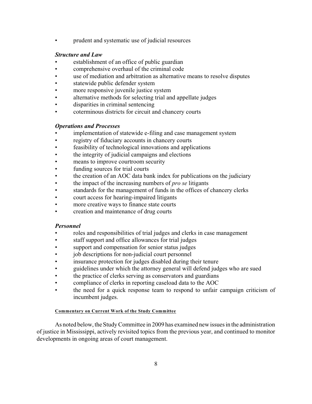• prudent and systematic use of judicial resources

## *Structure and Law*

- establishment of an office of public guardian
- comprehensive overhaul of the criminal code
- use of mediation and arbitration as alternative means to resolve disputes
- statewide public defender system
- more responsive juvenile justice system
- alternative methods for selecting trial and appellate judges
- disparities in criminal sentencing
- coterminous districts for circuit and chancery courts

## *Operations and Processes*

- implementation of statewide e-filing and case management system
- registry of fiduciary accounts in chancery courts
- feasibility of technological innovations and applications
- the integrity of judicial campaigns and elections
- means to improve courtroom security
- funding sources for trial courts
- the creation of an AOC data bank index for publications on the judiciary
- the impact of the increasing numbers of *pro se* litigants
- standards for the management of funds in the offices of chancery clerks
- court access for hearing-impaired litigants
- more creative ways to finance state courts
- creation and maintenance of drug courts

### *Personnel*

- roles and responsibilities of trial judges and clerks in case management
- staff support and office allowances for trial judges
- support and compensation for senior status judges
- job descriptions for non-judicial court personnel
- insurance protection for judges disabled during their tenure
- guidelines under which the attorney general will defend judges who are sued
- the practice of clerks serving as conservators and guardians
- compliance of clerks in reporting caseload data to the AOC
- the need for a quick response team to respond to unfair campaign criticism of incumbent judges.

#### **Commentary on Current Work of the Study Committee**

As noted below, the Study Committee in 2009 has examined new issues in the administration of justice in Mississippi, actively revisited topics from the previous year, and continued to monitor developments in ongoing areas of court management.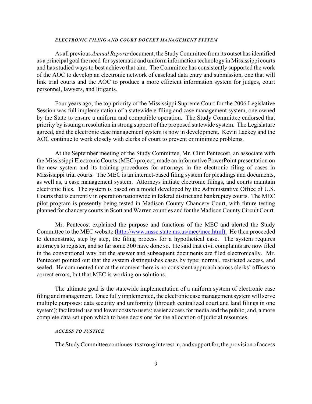#### *ELECTRONIC FILING AND COURT DOCKET MANAGEMENT SYSTEM*

As all previous *Annual Reports* document, the Study Committee from its outset has identified as a principal goal the need for systematic and uniform information technology in Mississippi courts and has studied ways to best achieve that aim. The Committee has consistently supported the work of the AOC to develop an electronic network of caseload data entry and submission, one that will link trial courts and the AOC to produce a more efficient information system for judges, court personnel, lawyers, and litigants.

Four years ago, the top priority of the Mississippi Supreme Court for the 2006 Legislative Session was full implementation of a statewide e-filing and case management system, one owned by the State to ensure a uniform and compatible operation. The Study Committee endorsed that priority by issuing a resolution in strong support of the proposed statewide system. The Legislature agreed, and the electronic case management system is now in development. Kevin Lackey and the AOC continue to work closely with clerks of court to prevent or minimize problems.

At the September meeting of the Study Committee, Mr. Clint Pentecost, an associate with the Mississippi Electronic Courts (MEC) project, made an informative PowerPoint presentation on the new system and its training procedures for attorneys in the electronic filing of cases in Mississippi trial courts. The MEC is an internet-based filing system for pleadings and documents, as well as, a case management system. Attorneys initiate electronic filings, and courts maintain electronic files. The system is based on a model developed by the Administrative Office of U.S. Courts that is currently in operation nationwide in federal district and bankruptcy courts. The MEC pilot program is presently being tested in Madison County Chancery Court, with future testing planned for chancery courts in Scott and Warren counties and for the Madison County Circuit Court.

Mr. Pentecost explained the purpose and functions of the MEC and alerted the Study Committee to the MEC website [\(http://www.mssc.state.ms.us/mec/mec.html\).](http://(http://www.mssc.state.ms.us/mec/mec.html).) He then proceeded to demonstrate, step by step, the filing process for a hypothetical case. The system requires attorneys to register, and so far some 300 have done so. He said that civil complaints are now filed in the conventional way but the answer and subsequent documents are filed electronically. Mr. Pentecost pointed out that the system distinguishes cases by type: normal, restricted access, and sealed. He commented that at the moment there is no consistent approach across clerks' offices to correct errors, but that MEC is working on solutions.

The ultimate goal is the statewide implementation of a uniform system of electronic case filing and management. Once fully implemented, the electronic case management system will serve multiple purposes: data security and uniformity (through centralized court and land filings in one system); facilitated use and lower costs to users; easier access for media and the public; and, a more complete data set upon which to base decisions for the allocation of judicial resources.

#### *ACCESS TO JUSTICE*

The Study Committee continues its strong interest in, and support for, the provision of access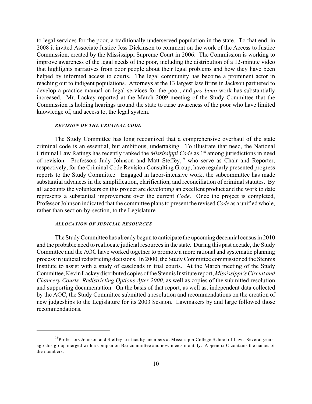to legal services for the poor, a traditionally underserved population in the state. To that end, in 2008 it invited Associate Justice Jess Dickinson to comment on the work of the Access to Justice Commission, created by the Mississippi Supreme Court in 2006. The Commission is working to improve awareness of the legal needs of the poor, including the distribution of a 12-minute video that highlights narratives from poor people about their legal problems and how they have been helped by informed access to courts. The legal community has become a prominent actor in reaching out to indigent populations. Attorneys at the 13 largest law firms in Jackson partnered to develop a practice manual on legal services for the poor, and *pro bono* work has substantially increased. Mr. Lackey reported at the March 2009 meeting of the Study Committee that the Commission is holding hearings around the state to raise awareness of the poor who have limited knowledge of, and access to, the legal system.

#### *REVISION OF THE CRIMINAL CODE*

The Study Committee has long recognized that a comprehensive overhaul of the state criminal code is an essential, but ambitious, undertaking. To illustrate that need, the National Criminal Law Ratings has recently ranked the *Mississippi Code* as 1<sup>st</sup> among jurisdictions in need of revision. Professors Judy Johnson and Matt Steffey,<sup>19</sup> who serve as Chair and Reporter, respectively, for the Criminal Code Revision Consulting Group, have regularly presented progress reports to the Study Committee. Engaged in labor-intensive work, the subcommittee has made substantial advances in the simplification, clarification, and reconciliation of criminal statutes. By all accounts the volunteers on this project are developing an excellent product and the work to date represents a substantial improvement over the current *Code*. Once the project is completed, Professor Johnson indicated that the committee plans to present the revised *Code* as a unified whole, rather than section-by-section, to the Legislature.

#### *ALLOCATION OF JUDICIAL RESOURCES*

The Study Committee has already begun to anticipate the upcoming decennial census in 2010 and the probable need to reallocate judicial resources in the state. During this past decade, the Study Committee and the AOC have worked together to promote a more rational and systematic planning process in judicial redistricting decisions. In 2000, the Study Committee commissioned the Stennis Institute to assist with a study of caseloads in trial courts. At the March meeting of the Study Committee, Kevin Lackey distributed copies of the Stennis Institute report, *Mississippi's Circuit and Chancery Courts: Redistricting Options After 2000*, as well as copies of the submitted resolution and supporting documentation. On the basis of that report, as well as, independent data collected by the AOC, the Study Committee submitted a resolution and recommendations on the creation of new judgeships to the Legislature for its 2003 Session. Lawmakers by and large followed those recommendations.

<sup>&</sup>lt;sup>19</sup>Professors Johnson and Steffey are faculty members at Mississippi College School of Law. Several years ago this group merged with a companion Bar committee and now meets monthly. Appendix C contains the names of the members.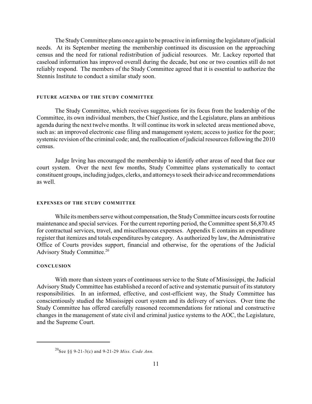The Study Committee plans once again to be proactive in informing the legislature of judicial needs. At its September meeting the membership continued its discussion on the approaching census and the need for rational redistribution of judicial resources. Mr. Lackey reported that caseload information has improved overall during the decade, but one or two counties still do not reliably respond. The members of the Study Committee agreed that it is essential to authorize the Stennis Institute to conduct a similar study soon.

#### **FUTURE AGENDA OF THE STUDY COMMITTEE**

The Study Committee, which receives suggestions for its focus from the leadership of the Committee, its own individual members, the Chief Justice, and the Legislature, plans an ambitious agenda during the next twelve months. It will continue its work in selected areas mentioned above, such as: an improved electronic case filing and management system; access to justice for the poor; systemic revision of the criminal code; and, the reallocation of judicial resources following the 2010 census.

Judge Irving has encouraged the membership to identify other areas of need that face our court system. Over the next few months, Study Committee plans systematically to contact constituent groups, including judges, clerks, and attorneys to seek their advice and recommendations as well.

#### **EXPENSES OF THE STUDY COMMITTEE**

While its members serve without compensation, the Study Committee incurs costs for routine maintenance and special services. For the current reporting period, the Committee spent \$6,870.45 for contractual services, travel, and miscellaneous expenses. Appendix E contains an expenditure register that itemizes and totals expenditures by category. As authorized by law, the Administrative Office of Courts provides support, financial and otherwise, for the operations of the Judicial Advisory Study Committee.<sup>20</sup>

#### **CONCLUSION**

With more than sixteen years of continuous service to the State of Mississippi, the Judicial Advisory Study Committee has established a record of active and systematic pursuit of its statutory responsibilities. In an informed, effective, and cost-efficient way, the Study Committee has conscientiously studied the Mississippi court system and its delivery of services. Over time the Study Committee has offered carefully reasoned recommendations for rational and constructive changes in the management of state civil and criminal justice systems to the AOC, the Legislature, and the Supreme Court.

<sup>&</sup>lt;sup>20</sup>See §§ 9-21-3(c) and 9-21-29 *Miss. Code Ann.*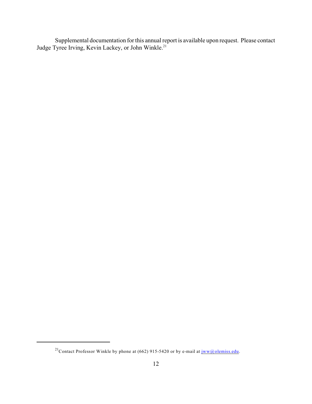Supplemental documentation for this annual report is available upon request. Please contact Judge Tyree Irving, Kevin Lackey, or John Winkle.<sup>21</sup>

<sup>&</sup>lt;sup>21</sup> Contact Professor Winkle by phone at (662) 915-5420 or by e-mail at  $jww@$  olemiss.edu.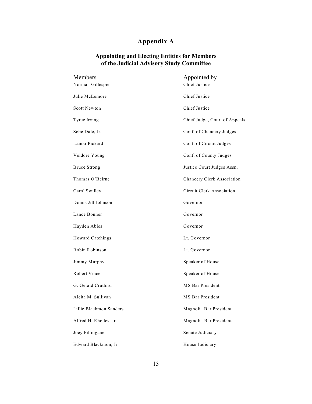# **Appendix A**

### **Appointing and Electing Entities for Members of the Judicial Advisory Study Committee**

| Members                 | Appointed by                  |
|-------------------------|-------------------------------|
| Norman Gillespie        | Chief Justice                 |
| Julie McLemore          | Chief Justice                 |
| Scott Newton            | Chief Justice                 |
| Tyree Irving            | Chief Judge, Court of Appeals |
| Sebe Dale, Jr.          | Conf. of Chancery Judges      |
| Lamar Pickard           | Conf. of Circuit Judges       |
| Veldore Young           | Conf. of County Judges        |
| <b>Bruce Strong</b>     | Justice Court Judges Assn.    |
| Thomas O'Beirne         | Chancery Clerk Association    |
| Carol Swilley           | Circuit Clerk Association     |
| Donna Jill Johnson      | Governor                      |
| Lance Bonner            | Governor                      |
| Hayden Ables            | Governor                      |
| Howard Catchings        | Lt. Governor                  |
| Robin Robinson          | Lt. Governor                  |
| Jimmy Murphy            | Speaker of House              |
| Robert Vince            | Speaker of House              |
| G. Gerald Cruthird      | MS Bar President              |
| Aleita M. Sullivan      | MS Bar President              |
| Lillie Blackmon Sanders | Magnolia Bar President        |
| Alfred H. Rhodes, Jr.   | Magnolia Bar President        |
| Joey Fillingane         | Senate Judiciary              |
| Edward Blackmon, Jr.    | House Judiciary               |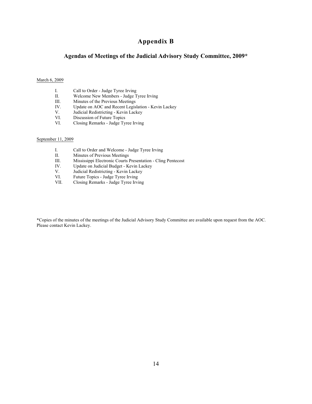## **Appendix B**

### **Agendas of Meetings of the Judicial Advisory Study Committee, 2009\***

#### March 6, 2009

- I. Call to Order Judge Tyree Irving<br>II. Welcome New Members Judge T
- II. Welcome New Members Judge Tyree Irving<br>III. Minutes of the Previous Meetings
- III. Minutes of the Previous Meetings<br>IV. Update on AOC and Recent Legis
- IV. Update on AOC and Recent Legislation Kevin Lackey<br>V. Judicial Redistricting Kevin Lackey
- V. Judicial Redistricting Kevin Lackey<br>VI. Discussion of Future Topics
- VI. Discussion of Future Topics<br>VI. Closing Remarks Judge Ty
- Closing Remarks Judge Tyree Irving

#### September 11, 2009

- I. Call to Order and Welcome Judge Tyree Irving<br>II. Minutes of Previous Meetings
- II. Minutes of Previous Meetings<br>III. Mississippi Electronic Courts I
- III. Mississippi Electronic Courts Presentation Cling Pentecost IV. Update on Judicial Budget Kevin Lackey
- IV. Update on Judicial Budget Kevin Lackey<br>V. Judicial Redistricting Kevin Lackey
- V. Judicial Redistricting Kevin Lackey<br>VI. Future Topics Judge Tyree Irving
- VI. Future Topics Judge Tyree Irving<br>VII. Closing Remarks Judge Tyree Irvi
- Closing Remarks Judge Tyree Irving

\*Copies of the minutes of the meetings of the Judicial Advisory Study Committee are available upon request from the AOC. Please contact Kevin Lackey.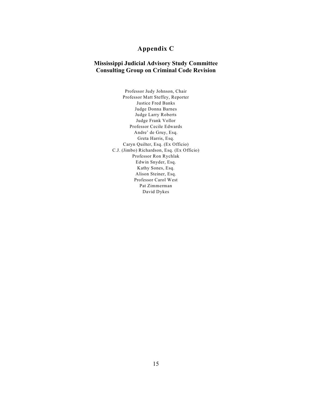# **Appendix C**

## **Mississippi Judicial Advisory Study Committee Consulting Group on Criminal Code Revision**

Professor Judy Johnson, Chair Professor Matt Steffey, Reporter Justice Fred Banks Judge Donna Barnes Judge Larry Roberts Judge Frank Vollor Professor Cecile Edwards Andre' de Gruy, Esq. Greta Harris, Esq. Caryn Quilter, Esq. (Ex Officio) C.J. (Jimbo) Richardson, Esq. (Ex Officio) Professor Ron Rychlak Edwin Snyder, Esq. Kathy Sones, Esq. Alison Steiner, Esq. Professor Carol West Pat Zimmerman David Dykes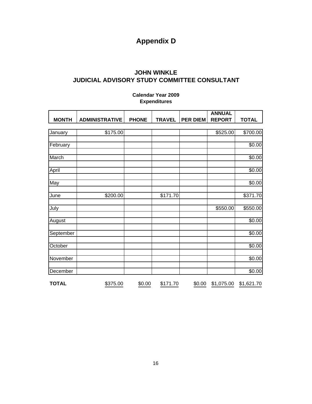# **Appendix D**

# **JOHN WINKLE JUDICIAL ADVISORY STUDY COMMITTEE CONSULTANT**

# **Calendar Year 2009 Expenditures**

|              |                       |              |               |                 | <b>ANNUAL</b> |              |
|--------------|-----------------------|--------------|---------------|-----------------|---------------|--------------|
| <b>MONTH</b> | <b>ADMINISTRATIVE</b> | <b>PHONE</b> | <b>TRAVEL</b> | <b>PER DIEM</b> | <b>REPORT</b> | <b>TOTAL</b> |
|              |                       |              |               |                 |               |              |
| January      | \$175.00              |              |               |                 | \$525.00      | \$700.00     |
|              |                       |              |               |                 |               |              |
| February     |                       |              |               |                 |               | \$0.00       |
|              |                       |              |               |                 |               |              |
| March        |                       |              |               |                 |               | \$0.00       |
|              |                       |              |               |                 |               |              |
| April        |                       |              |               |                 |               | \$0.00       |
|              |                       |              |               |                 |               |              |
| May          |                       |              |               |                 |               | \$0.00       |
|              |                       |              |               |                 |               |              |
| June         | \$200.00              |              | \$171.70      |                 |               | \$371.70     |
|              |                       |              |               |                 |               |              |
| July         |                       |              |               |                 | \$550.00      | \$550.00     |
|              |                       |              |               |                 |               |              |
| August       |                       |              |               |                 |               | \$0.00       |
|              |                       |              |               |                 |               |              |
| September    |                       |              |               |                 |               | \$0.00       |
|              |                       |              |               |                 |               |              |
| October      |                       |              |               |                 |               | \$0.00       |
|              |                       |              |               |                 |               |              |
| November     |                       |              |               |                 |               | \$0.00       |
|              |                       |              |               |                 |               |              |
| December     |                       |              |               |                 |               | \$0.00       |
| <b>TOTAL</b> | \$375.00              | \$0.00       | \$171.70      | \$0.00          | \$1,075.00    | \$1,621.70   |